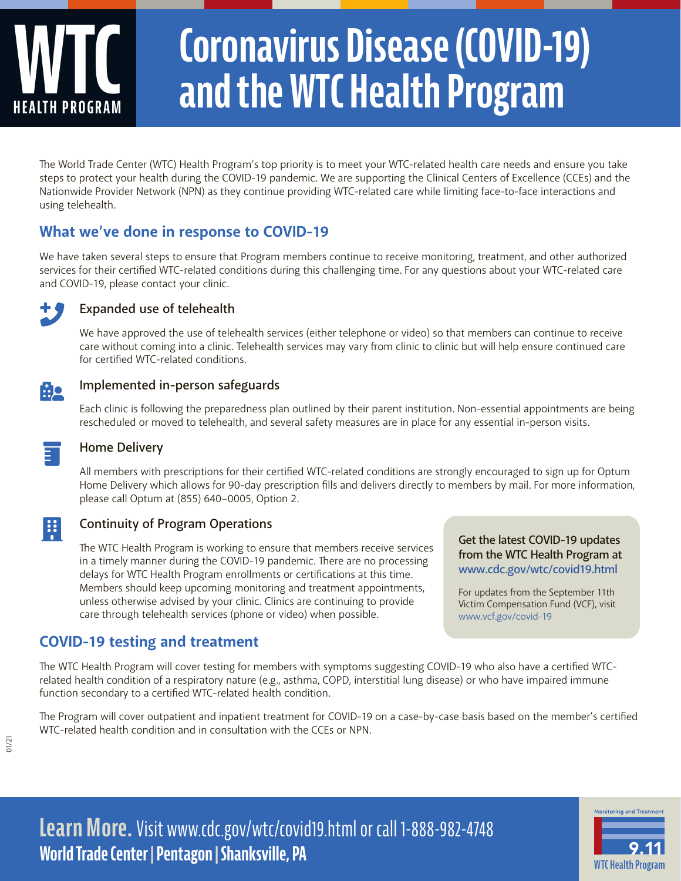# **WTC HEALTH PROGRAM Coronavirus Disease (COVID-19) and the WTC Health Program**

The World Trade Center (WTC) Health Program's top priority is to meet your WTC-related health care needs and ensure you take steps to protect your health during the COVID-19 pandemic. We are supporting the Clinical Centers of Excellence (CCEs) and the Nationwide Provider Network (NPN) as they continue providing WTC-related care while limiting face-to-face interactions and using telehealth.

# **What we've done in response to COVID-19**

We have taken several steps to ensure that Program members continue to receive monitoring, treatment, and other authorized services for their certified WTC-related conditions during this challenging time. For any questions about your WTC-related care and COVID-19, please contact your clinic.



#### **Expanded use of telehealth**

We have approved the use of telehealth services (either telephone or video) so that members can continue to receive care without coming into a clinic. Telehealth services may vary from clinic to clinic but will help ensure continued care for certified WTC-related conditions.



開

#### **Implemented in-person safeguards**

Each clinic is following the preparedness plan outlined by their parent institution. Non-essential appointments are being rescheduled or moved to telehealth, and several safety measures are in place for any essential in-person visits.

#### **Home Delivery**

All members with prescriptions for their certified WTC-related conditions are strongly encouraged to sign up for Optum Home Delivery which allows for 90-day prescription fills and delivers directly to members by mail. For more information, please call Optum at (855) 640–0005, Option 2.

#### **Continuity of Program Operations**

The WTC Health Program is working to ensure that members receive services in a timely manner during the COVID-19 pandemic. There are no processing delays for WTC Health Program enrollments or certifications at this time. Members should keep upcoming monitoring and treatment appointments, unless otherwise advised by your clinic. Clinics are continuing to provide care through telehealth services (phone or video) when possible.

## **COVID-19 testing and treatment**

The WTC Health Program will cover testing for members with symptoms suggesting COVID-19 who also have a certified WTCrelated health condition of a respiratory nature (e.g., asthma, COPD, interstitial lung disease) or who have impaired immune function secondary to a certified WTC-related health condition.

The Program will cover outpatient and inpatient treatment for COVID-19 on a case-by-case basis based on the member's certified WTC-related health condition and in consultation with the CCEs or NPN.

**Learn More.** Visit www.cdc.gov/wtc/covid19.html or call 1-888-982-4748 **World Trade Center |Pentagon | Shanksville, PA**

**Get the latest COVID-19 updates from the WTC Health Program at www.cdc.gov/wtc/covid19.html**

For updates from the September 11th Victim Compensation Fund (VCF), visit www.vcf.gov/covid-19